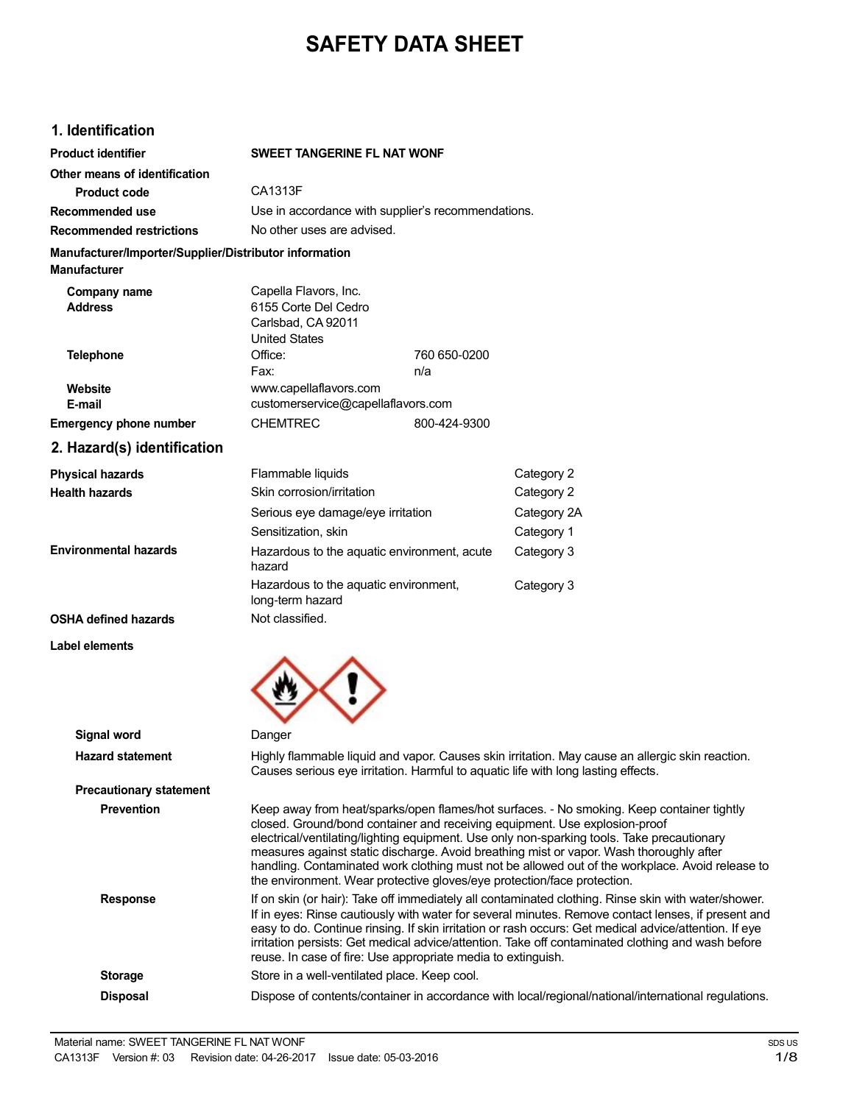# **SAFETY DATA SHEET**

## **1. Identification**

| <b>Product identifier</b>                                                     | <b>SWEET TANGERINE FL NAT WONF</b>                                                                                                                                                                                                                                                                                                                                                                                                                                                      |                                                                                                                                                                                                                                                                                                                                                                                                                                                                     |  |
|-------------------------------------------------------------------------------|-----------------------------------------------------------------------------------------------------------------------------------------------------------------------------------------------------------------------------------------------------------------------------------------------------------------------------------------------------------------------------------------------------------------------------------------------------------------------------------------|---------------------------------------------------------------------------------------------------------------------------------------------------------------------------------------------------------------------------------------------------------------------------------------------------------------------------------------------------------------------------------------------------------------------------------------------------------------------|--|
| Other means of identification                                                 |                                                                                                                                                                                                                                                                                                                                                                                                                                                                                         |                                                                                                                                                                                                                                                                                                                                                                                                                                                                     |  |
| <b>Product code</b>                                                           | CA1313F                                                                                                                                                                                                                                                                                                                                                                                                                                                                                 |                                                                                                                                                                                                                                                                                                                                                                                                                                                                     |  |
| Recommended use                                                               | Use in accordance with supplier's recommendations.                                                                                                                                                                                                                                                                                                                                                                                                                                      |                                                                                                                                                                                                                                                                                                                                                                                                                                                                     |  |
| <b>Recommended restrictions</b>                                               | No other uses are advised.                                                                                                                                                                                                                                                                                                                                                                                                                                                              |                                                                                                                                                                                                                                                                                                                                                                                                                                                                     |  |
| Manufacturer/Importer/Supplier/Distributor information<br><b>Manufacturer</b> |                                                                                                                                                                                                                                                                                                                                                                                                                                                                                         |                                                                                                                                                                                                                                                                                                                                                                                                                                                                     |  |
| Company name<br><b>Address</b>                                                | Capella Flavors, Inc.<br>6155 Corte Del Cedro<br>Carlsbad, CA 92011<br><b>United States</b>                                                                                                                                                                                                                                                                                                                                                                                             |                                                                                                                                                                                                                                                                                                                                                                                                                                                                     |  |
| <b>Telephone</b>                                                              | Office:<br>760 650-0200<br>Fax:<br>n/a                                                                                                                                                                                                                                                                                                                                                                                                                                                  |                                                                                                                                                                                                                                                                                                                                                                                                                                                                     |  |
| Website<br>E-mail                                                             | www.capellaflavors.com<br>customerservice@capellaflavors.com                                                                                                                                                                                                                                                                                                                                                                                                                            |                                                                                                                                                                                                                                                                                                                                                                                                                                                                     |  |
| <b>Emergency phone number</b>                                                 | <b>CHEMTREC</b><br>800-424-9300                                                                                                                                                                                                                                                                                                                                                                                                                                                         |                                                                                                                                                                                                                                                                                                                                                                                                                                                                     |  |
| 2. Hazard(s) identification                                                   |                                                                                                                                                                                                                                                                                                                                                                                                                                                                                         |                                                                                                                                                                                                                                                                                                                                                                                                                                                                     |  |
| <b>Physical hazards</b>                                                       | Flammable liquids                                                                                                                                                                                                                                                                                                                                                                                                                                                                       | Category 2                                                                                                                                                                                                                                                                                                                                                                                                                                                          |  |
| <b>Health hazards</b>                                                         | Skin corrosion/irritation                                                                                                                                                                                                                                                                                                                                                                                                                                                               | Category 2                                                                                                                                                                                                                                                                                                                                                                                                                                                          |  |
|                                                                               | Serious eye damage/eye irritation                                                                                                                                                                                                                                                                                                                                                                                                                                                       | Category 2A                                                                                                                                                                                                                                                                                                                                                                                                                                                         |  |
|                                                                               | Sensitization, skin                                                                                                                                                                                                                                                                                                                                                                                                                                                                     | Category 1                                                                                                                                                                                                                                                                                                                                                                                                                                                          |  |
| <b>Environmental hazards</b>                                                  | Hazardous to the aquatic environment, acute<br>hazard                                                                                                                                                                                                                                                                                                                                                                                                                                   | Category 3                                                                                                                                                                                                                                                                                                                                                                                                                                                          |  |
|                                                                               | Hazardous to the aquatic environment,<br>long-term hazard                                                                                                                                                                                                                                                                                                                                                                                                                               | Category 3                                                                                                                                                                                                                                                                                                                                                                                                                                                          |  |
| OSHA defined hazards                                                          | Not classified.                                                                                                                                                                                                                                                                                                                                                                                                                                                                         |                                                                                                                                                                                                                                                                                                                                                                                                                                                                     |  |
| Label elements                                                                |                                                                                                                                                                                                                                                                                                                                                                                                                                                                                         |                                                                                                                                                                                                                                                                                                                                                                                                                                                                     |  |
| Signal word                                                                   | Danger                                                                                                                                                                                                                                                                                                                                                                                                                                                                                  |                                                                                                                                                                                                                                                                                                                                                                                                                                                                     |  |
| <b>Hazard statement</b>                                                       | Highly flammable liquid and vapor. Causes skin irritation. May cause an allergic skin reaction.<br>Causes serious eye irritation. Harmful to aquatic life with long lasting effects.                                                                                                                                                                                                                                                                                                    |                                                                                                                                                                                                                                                                                                                                                                                                                                                                     |  |
| <b>Precautionary statement</b>                                                |                                                                                                                                                                                                                                                                                                                                                                                                                                                                                         |                                                                                                                                                                                                                                                                                                                                                                                                                                                                     |  |
| <b>Prevention</b>                                                             | the environment. Wear protective gloves/eye protection/face protection.                                                                                                                                                                                                                                                                                                                                                                                                                 | Keep away from heat/sparks/open flames/hot surfaces. - No smoking. Keep container tightly<br>closed. Ground/bond container and receiving equipment. Use explosion-proof<br>electrical/ventilating/lighting equipment. Use only non-sparking tools. Take precautionary<br>measures against static discharge. Avoid breathing mist or vapor. Wash thoroughly after<br>handling. Contaminated work clothing must not be allowed out of the workplace. Avoid release to |  |
| <b>Response</b>                                                               | If on skin (or hair): Take off immediately all contaminated clothing. Rinse skin with water/shower.<br>If in eyes: Rinse cautiously with water for several minutes. Remove contact lenses, if present and<br>easy to do. Continue rinsing. If skin irritation or rash occurs: Get medical advice/attention. If eye<br>irritation persists: Get medical advice/attention. Take off contaminated clothing and wash before<br>reuse. In case of fire: Use appropriate media to extinguish. |                                                                                                                                                                                                                                                                                                                                                                                                                                                                     |  |
| <b>Storage</b>                                                                | Store in a well-ventilated place. Keep cool.                                                                                                                                                                                                                                                                                                                                                                                                                                            |                                                                                                                                                                                                                                                                                                                                                                                                                                                                     |  |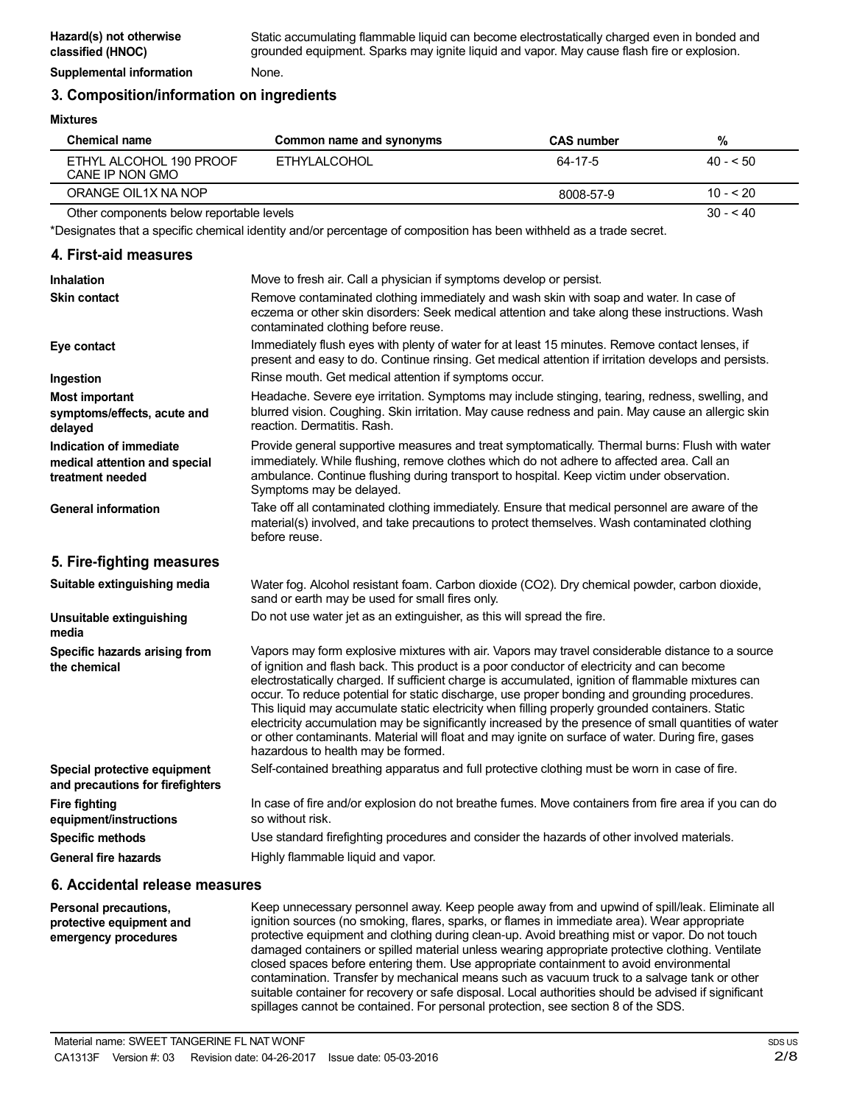### **3. Composition/information on ingredients**

#### **Mixtures**

| Chemical name                              | Common name and synonyms | <b>CAS number</b> | %          |
|--------------------------------------------|--------------------------|-------------------|------------|
| ETHYL ALCOHOL 190 PROOF<br>CANE IP NON GMO | FTHYLAI COHOL            | 64-17-5           | $40 - 50$  |
| ORANGE OIL1X NA NOP                        |                          | 8008-57-9         | $10 - 520$ |
| Other components below reportable levels   |                          |                   | $30 - 40$  |

\*Designates that a specific chemical identity and/or percentage of composition has been withheld as a trade secret.

# **4. First-aid measures**

| Inhalation                                                                   | Move to fresh air. Call a physician if symptoms develop or persist.                                                                                                                                                                                                                                                                                                                                                                                                                                                                                                                                                                                                                                                                                         |
|------------------------------------------------------------------------------|-------------------------------------------------------------------------------------------------------------------------------------------------------------------------------------------------------------------------------------------------------------------------------------------------------------------------------------------------------------------------------------------------------------------------------------------------------------------------------------------------------------------------------------------------------------------------------------------------------------------------------------------------------------------------------------------------------------------------------------------------------------|
| <b>Skin contact</b>                                                          | Remove contaminated clothing immediately and wash skin with soap and water. In case of<br>eczema or other skin disorders: Seek medical attention and take along these instructions. Wash<br>contaminated clothing before reuse.                                                                                                                                                                                                                                                                                                                                                                                                                                                                                                                             |
| Eye contact                                                                  | Immediately flush eyes with plenty of water for at least 15 minutes. Remove contact lenses, if<br>present and easy to do. Continue rinsing. Get medical attention if irritation develops and persists.                                                                                                                                                                                                                                                                                                                                                                                                                                                                                                                                                      |
| Ingestion                                                                    | Rinse mouth. Get medical attention if symptoms occur.                                                                                                                                                                                                                                                                                                                                                                                                                                                                                                                                                                                                                                                                                                       |
| <b>Most important</b><br>symptoms/effects, acute and<br>delayed              | Headache. Severe eye irritation. Symptoms may include stinging, tearing, redness, swelling, and<br>blurred vision. Coughing. Skin irritation. May cause redness and pain. May cause an allergic skin<br>reaction. Dermatitis. Rash.                                                                                                                                                                                                                                                                                                                                                                                                                                                                                                                         |
| Indication of immediate<br>medical attention and special<br>treatment needed | Provide general supportive measures and treat symptomatically. Thermal burns: Flush with water<br>immediately. While flushing, remove clothes which do not adhere to affected area. Call an<br>ambulance. Continue flushing during transport to hospital. Keep victim under observation.<br>Symptoms may be delayed.                                                                                                                                                                                                                                                                                                                                                                                                                                        |
| <b>General information</b>                                                   | Take off all contaminated clothing immediately. Ensure that medical personnel are aware of the<br>material(s) involved, and take precautions to protect themselves. Wash contaminated clothing<br>before reuse.                                                                                                                                                                                                                                                                                                                                                                                                                                                                                                                                             |
| 5. Fire-fighting measures                                                    |                                                                                                                                                                                                                                                                                                                                                                                                                                                                                                                                                                                                                                                                                                                                                             |
| Suitable extinguishing media                                                 | Water fog. Alcohol resistant foam. Carbon dioxide (CO2). Dry chemical powder, carbon dioxide,<br>sand or earth may be used for small fires only.                                                                                                                                                                                                                                                                                                                                                                                                                                                                                                                                                                                                            |
| Unsuitable extinguishing<br>media                                            | Do not use water jet as an extinguisher, as this will spread the fire.                                                                                                                                                                                                                                                                                                                                                                                                                                                                                                                                                                                                                                                                                      |
| Specific hazards arising from<br>the chemical                                | Vapors may form explosive mixtures with air. Vapors may travel considerable distance to a source<br>of ignition and flash back. This product is a poor conductor of electricity and can become<br>electrostatically charged. If sufficient charge is accumulated, ignition of flammable mixtures can<br>occur. To reduce potential for static discharge, use proper bonding and grounding procedures.<br>This liquid may accumulate static electricity when filling properly grounded containers. Static<br>electricity accumulation may be significantly increased by the presence of small quantities of water<br>or other contaminants. Material will float and may ignite on surface of water. During fire, gases<br>hazardous to health may be formed. |
| Special protective equipment<br>and precautions for firefighters             | Self-contained breathing apparatus and full protective clothing must be worn in case of fire.                                                                                                                                                                                                                                                                                                                                                                                                                                                                                                                                                                                                                                                               |
| <b>Fire fighting</b><br>equipment/instructions                               | In case of fire and/or explosion do not breathe fumes. Move containers from fire area if you can do<br>so without risk.                                                                                                                                                                                                                                                                                                                                                                                                                                                                                                                                                                                                                                     |
| <b>Specific methods</b>                                                      | Use standard firefighting procedures and consider the hazards of other involved materials.                                                                                                                                                                                                                                                                                                                                                                                                                                                                                                                                                                                                                                                                  |
| <b>General fire hazards</b>                                                  | Highly flammable liquid and vapor.                                                                                                                                                                                                                                                                                                                                                                                                                                                                                                                                                                                                                                                                                                                          |
|                                                                              |                                                                                                                                                                                                                                                                                                                                                                                                                                                                                                                                                                                                                                                                                                                                                             |

### **6. Accidental release measures**

**Personal precautions, protective equipment and emergency procedures** Keep unnecessary personnel away. Keep people away from and upwind of spill/leak. Eliminate all ignition sources (no smoking, flares, sparks, or flames in immediate area). Wear appropriate protective equipment and clothing during clean-up. Avoid breathing mist or vapor. Do not touch damaged containers or spilled material unless wearing appropriate protective clothing. Ventilate closed spaces before entering them. Use appropriate containment to avoid environmental contamination. Transfer by mechanical means such as vacuum truck to a salvage tank or other suitable container for recovery or safe disposal. Local authorities should be advised if significant spillages cannot be contained. For personal protection, see section 8 of the SDS.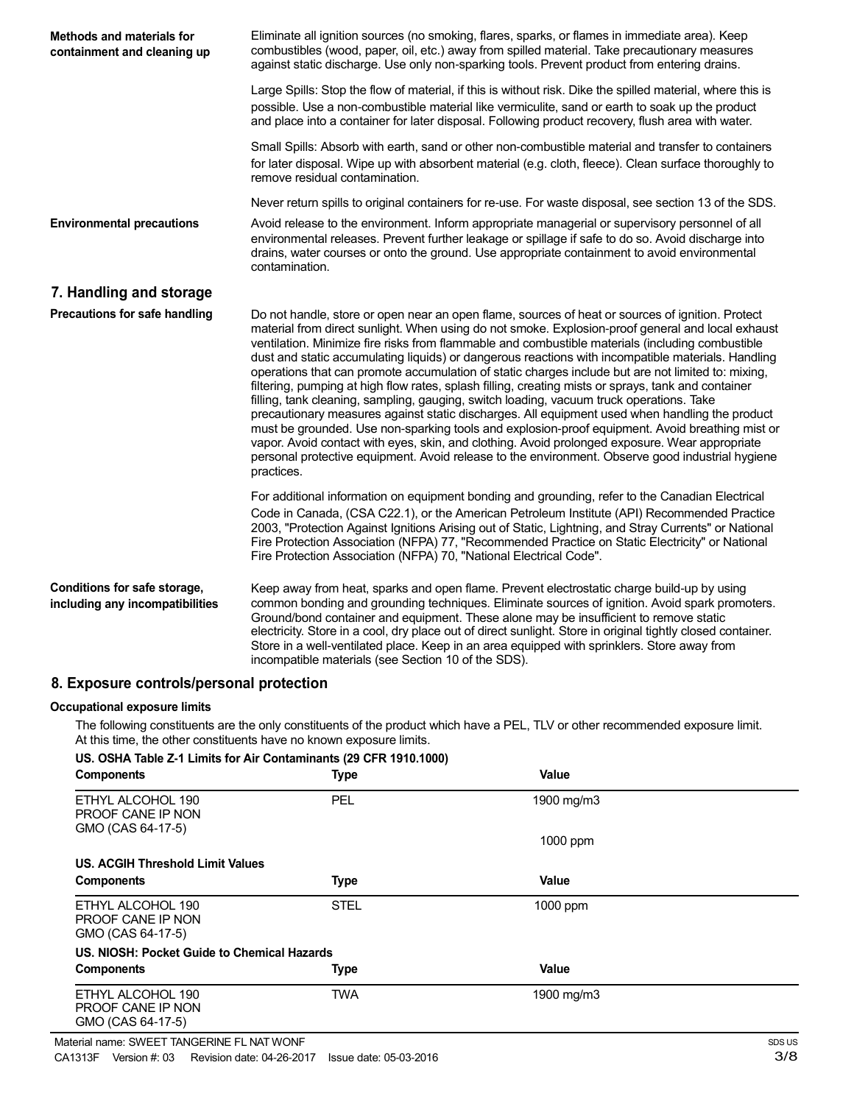| <b>Methods and materials for</b><br>containment and cleaning up | Eliminate all ignition sources (no smoking, flares, sparks, or flames in immediate area). Keep<br>combustibles (wood, paper, oil, etc.) away from spilled material. Take precautionary measures<br>against static discharge. Use only non-sparking tools. Prevent product from entering drains.                                                                                                                                                                                                                                                                                                                                                                                                                                                                                                                                                                                                                                                                                                                                                                                                                                                   |
|-----------------------------------------------------------------|---------------------------------------------------------------------------------------------------------------------------------------------------------------------------------------------------------------------------------------------------------------------------------------------------------------------------------------------------------------------------------------------------------------------------------------------------------------------------------------------------------------------------------------------------------------------------------------------------------------------------------------------------------------------------------------------------------------------------------------------------------------------------------------------------------------------------------------------------------------------------------------------------------------------------------------------------------------------------------------------------------------------------------------------------------------------------------------------------------------------------------------------------|
|                                                                 | Large Spills: Stop the flow of material, if this is without risk. Dike the spilled material, where this is<br>possible. Use a non-combustible material like vermiculite, sand or earth to soak up the product<br>and place into a container for later disposal. Following product recovery, flush area with water.                                                                                                                                                                                                                                                                                                                                                                                                                                                                                                                                                                                                                                                                                                                                                                                                                                |
|                                                                 | Small Spills: Absorb with earth, sand or other non-combustible material and transfer to containers<br>for later disposal. Wipe up with absorbent material (e.g. cloth, fleece). Clean surface thoroughly to<br>remove residual contamination.                                                                                                                                                                                                                                                                                                                                                                                                                                                                                                                                                                                                                                                                                                                                                                                                                                                                                                     |
|                                                                 | Never return spills to original containers for re-use. For waste disposal, see section 13 of the SDS.                                                                                                                                                                                                                                                                                                                                                                                                                                                                                                                                                                                                                                                                                                                                                                                                                                                                                                                                                                                                                                             |
| <b>Environmental precautions</b>                                | Avoid release to the environment. Inform appropriate managerial or supervisory personnel of all<br>environmental releases. Prevent further leakage or spillage if safe to do so. Avoid discharge into<br>drains, water courses or onto the ground. Use appropriate containment to avoid environmental<br>contamination.                                                                                                                                                                                                                                                                                                                                                                                                                                                                                                                                                                                                                                                                                                                                                                                                                           |
| 7. Handling and storage                                         |                                                                                                                                                                                                                                                                                                                                                                                                                                                                                                                                                                                                                                                                                                                                                                                                                                                                                                                                                                                                                                                                                                                                                   |
| Precautions for safe handling                                   | Do not handle, store or open near an open flame, sources of heat or sources of ignition. Protect<br>material from direct sunlight. When using do not smoke. Explosion-proof general and local exhaust<br>ventilation. Minimize fire risks from flammable and combustible materials (including combustible<br>dust and static accumulating liquids) or dangerous reactions with incompatible materials. Handling<br>operations that can promote accumulation of static charges include but are not limited to: mixing,<br>filtering, pumping at high flow rates, splash filling, creating mists or sprays, tank and container<br>filling, tank cleaning, sampling, gauging, switch loading, vacuum truck operations. Take<br>precautionary measures against static discharges. All equipment used when handling the product<br>must be grounded. Use non-sparking tools and explosion-proof equipment. Avoid breathing mist or<br>vapor. Avoid contact with eyes, skin, and clothing. Avoid prolonged exposure. Wear appropriate<br>personal protective equipment. Avoid release to the environment. Observe good industrial hygiene<br>practices. |
|                                                                 | For additional information on equipment bonding and grounding, refer to the Canadian Electrical<br>Code in Canada, (CSA C22.1), or the American Petroleum Institute (API) Recommended Practice<br>2003, "Protection Against Ignitions Arising out of Static, Lightning, and Stray Currents" or National<br>Fire Protection Association (NFPA) 77, "Recommended Practice on Static Electricity" or National<br>Fire Protection Association (NFPA) 70, "National Electrical Code".                                                                                                                                                                                                                                                                                                                                                                                                                                                                                                                                                                                                                                                                  |
| Conditions for safe storage,<br>including any incompatibilities | Keep away from heat, sparks and open flame. Prevent electrostatic charge build-up by using<br>common bonding and grounding techniques. Eliminate sources of ignition. Avoid spark promoters.<br>Ground/bond container and equipment. These alone may be insufficient to remove static<br>electricity. Store in a cool, dry place out of direct sunlight. Store in original tightly closed container.<br>Store in a well-ventilated place. Keep in an area equipped with sprinklers. Store away from<br>incompatible materials (see Section 10 of the SDS).                                                                                                                                                                                                                                                                                                                                                                                                                                                                                                                                                                                        |

# **8. Exposure controls/personal protection**

#### **Occupational exposure limits**

The following constituents are the only constituents of the product which have a PEL, TLV or other recommended exposure limit. At this time, the other constituents have no known exposure limits.

### **US. OSHA Table Z-1 Limits for Air Contaminants (29 CFR 1910.1000)**

| <b>Components</b>                                           | <b>Type</b> | Value        |  |
|-------------------------------------------------------------|-------------|--------------|--|
| ETHYL ALCOHOL 190<br>PROOF CANE IP NON<br>GMO (CAS 64-17-5) | PEL         | 1900 mg/m3   |  |
|                                                             |             | 1000 ppm     |  |
| US. ACGIH Threshold Limit Values                            |             |              |  |
| <b>Components</b>                                           | <b>Type</b> | <b>Value</b> |  |
| ETHYL ALCOHOL 190<br>PROOF CANE IP NON<br>GMO (CAS 64-17-5) | <b>STEL</b> | 1000 ppm     |  |
| US. NIOSH: Pocket Guide to Chemical Hazards                 |             |              |  |
| <b>Components</b>                                           | <b>Type</b> | Value        |  |
| ETHYL ALCOHOL 190<br>PROOF CANE IP NON<br>GMO (CAS 64-17-5) | <b>TWA</b>  | 1900 mg/m3   |  |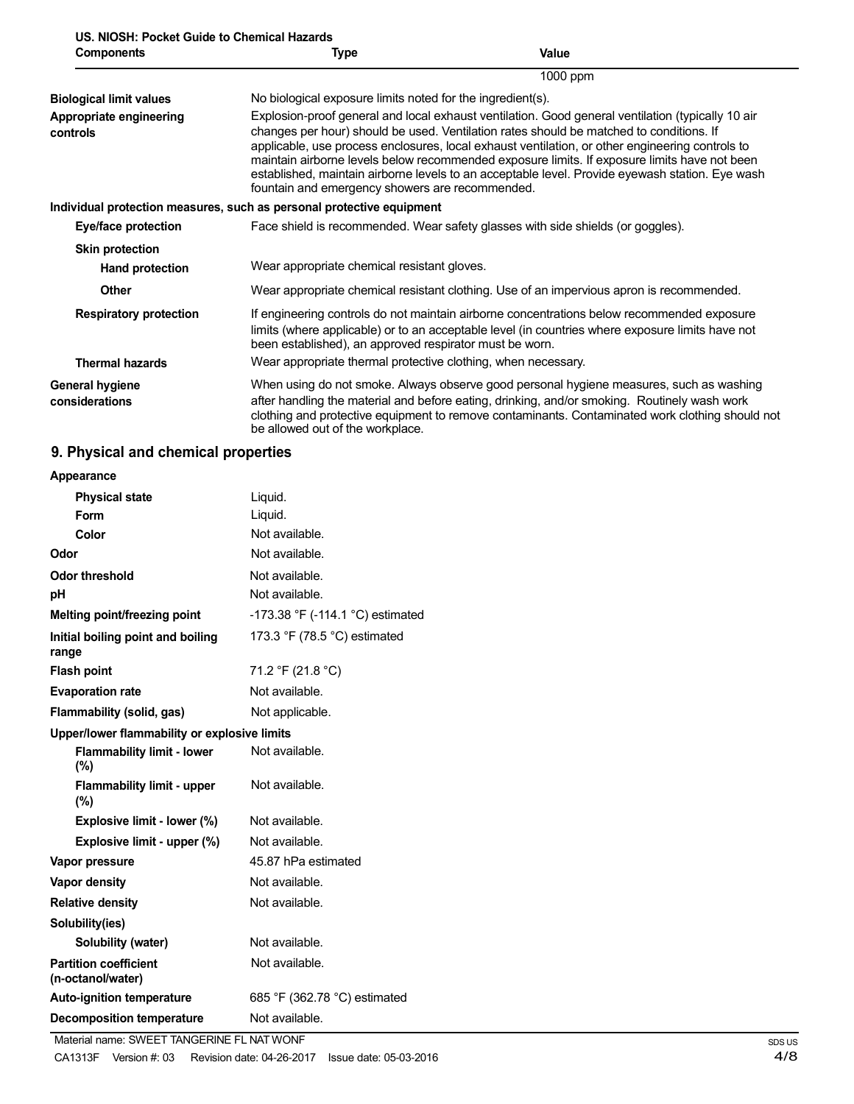| US. NIOSH: Pocket Guide to Chemical Hazards |  |
|---------------------------------------------|--|
| <b>Components</b>                           |  |

| <b>Components</b>                   | Type                                                                                                                                                                                                                                                                                                                                                                                                                                                                                                                                                  | <b>Value</b>                                                                                                                                                                                                                                                                               |  |
|-------------------------------------|-------------------------------------------------------------------------------------------------------------------------------------------------------------------------------------------------------------------------------------------------------------------------------------------------------------------------------------------------------------------------------------------------------------------------------------------------------------------------------------------------------------------------------------------------------|--------------------------------------------------------------------------------------------------------------------------------------------------------------------------------------------------------------------------------------------------------------------------------------------|--|
|                                     |                                                                                                                                                                                                                                                                                                                                                                                                                                                                                                                                                       | 1000 ppm                                                                                                                                                                                                                                                                                   |  |
| <b>Biological limit values</b>      | No biological exposure limits noted for the ingredient(s).                                                                                                                                                                                                                                                                                                                                                                                                                                                                                            |                                                                                                                                                                                                                                                                                            |  |
| Appropriate engineering<br>controls | Explosion-proof general and local exhaust ventilation. Good general ventilation (typically 10 air<br>changes per hour) should be used. Ventilation rates should be matched to conditions. If<br>applicable, use process enclosures, local exhaust ventilation, or other engineering controls to<br>maintain airborne levels below recommended exposure limits. If exposure limits have not been<br>established, maintain airborne levels to an acceptable level. Provide eyewash station. Eye wash<br>fountain and emergency showers are recommended. |                                                                                                                                                                                                                                                                                            |  |
|                                     | Individual protection measures, such as personal protective equipment                                                                                                                                                                                                                                                                                                                                                                                                                                                                                 |                                                                                                                                                                                                                                                                                            |  |
| Eye/face protection                 |                                                                                                                                                                                                                                                                                                                                                                                                                                                                                                                                                       | Face shield is recommended. Wear safety glasses with side shields (or goggles).                                                                                                                                                                                                            |  |
| <b>Skin protection</b>              |                                                                                                                                                                                                                                                                                                                                                                                                                                                                                                                                                       |                                                                                                                                                                                                                                                                                            |  |
| <b>Hand protection</b>              | Wear appropriate chemical resistant gloves.                                                                                                                                                                                                                                                                                                                                                                                                                                                                                                           |                                                                                                                                                                                                                                                                                            |  |
| <b>Other</b>                        |                                                                                                                                                                                                                                                                                                                                                                                                                                                                                                                                                       | Wear appropriate chemical resistant clothing. Use of an impervious apron is recommended.                                                                                                                                                                                                   |  |
| <b>Respiratory protection</b>       | been established), an approved respirator must be worn.                                                                                                                                                                                                                                                                                                                                                                                                                                                                                               | If engineering controls do not maintain airborne concentrations below recommended exposure<br>limits (where applicable) or to an acceptable level (in countries where exposure limits have not                                                                                             |  |
| <b>Thermal hazards</b>              | Wear appropriate thermal protective clothing, when necessary.                                                                                                                                                                                                                                                                                                                                                                                                                                                                                         |                                                                                                                                                                                                                                                                                            |  |
| General hygiene<br>considerations   | be allowed out of the workplace.                                                                                                                                                                                                                                                                                                                                                                                                                                                                                                                      | When using do not smoke. Always observe good personal hygiene measures, such as washing<br>after handling the material and before eating, drinking, and/or smoking. Routinely wash work<br>clothing and protective equipment to remove contaminants. Contaminated work clothing should not |  |

# **9. Physical and chemical properties**

| Appearance                                        |                                  |  |
|---------------------------------------------------|----------------------------------|--|
| <b>Physical state</b>                             | Liquid.                          |  |
| Form                                              | Liquid.                          |  |
| Color                                             | Not available.                   |  |
| Odor                                              | Not available.                   |  |
| <b>Odor threshold</b>                             | Not available.                   |  |
| рH                                                | Not available.                   |  |
| Melting point/freezing point                      | -173.38 °F (-114.1 °C) estimated |  |
| Initial boiling point and boiling<br>range        | 173.3 °F (78.5 °C) estimated     |  |
| <b>Flash point</b>                                | 71.2 °F (21.8 °C)                |  |
| <b>Evaporation rate</b>                           | Not available.                   |  |
| Flammability (solid, gas)                         | Not applicable.                  |  |
| Upper/lower flammability or explosive limits      |                                  |  |
| <b>Flammability limit - lower</b><br>(%)          | Not available.                   |  |
| <b>Flammability limit - upper</b><br>(%)          | Not available.                   |  |
| Explosive limit - lower (%)                       | Not available.                   |  |
| Explosive limit - upper (%)                       | Not available.                   |  |
| Vapor pressure                                    | 45.87 hPa estimated              |  |
| <b>Vapor density</b>                              | Not available.                   |  |
| <b>Relative density</b>                           | Not available.                   |  |
| Solubility(ies)                                   |                                  |  |
| Solubility (water)                                | Not available.                   |  |
| <b>Partition coefficient</b><br>(n-octanol/water) | Not available.                   |  |
| <b>Auto-ignition temperature</b>                  | 685 °F (362.78 °C) estimated     |  |
| <b>Decomposition temperature</b>                  | Not available.                   |  |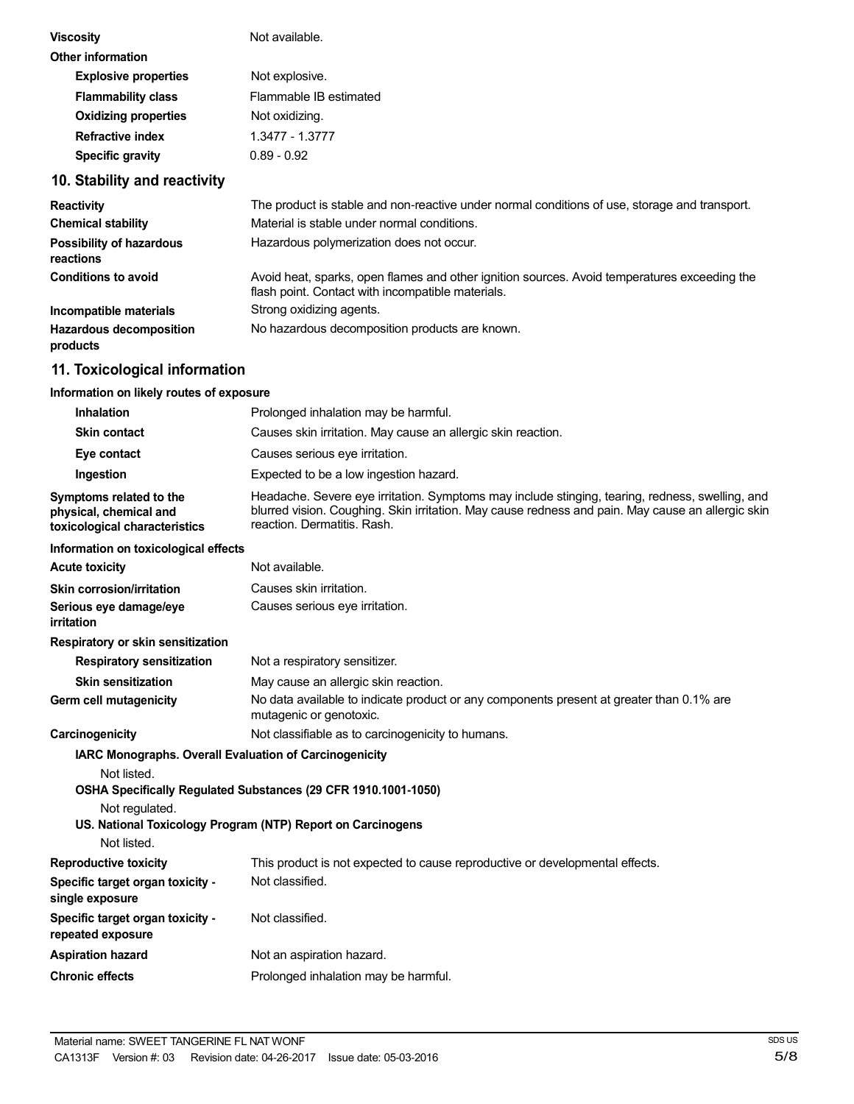| <b>Viscosity</b>            | Not available.         |  |
|-----------------------------|------------------------|--|
| Other information           |                        |  |
| <b>Explosive properties</b> | Not explosive.         |  |
| <b>Flammability class</b>   | Flammable IB estimated |  |
| <b>Oxidizing properties</b> | Not oxidizing.         |  |
| Refractive index            | 1.3477 - 1.3777        |  |
| <b>Specific gravity</b>     | $0.89 - 0.92$          |  |
|                             |                        |  |

# **10. Stability and reactivity**

| <b>Reactivity</b>                            | The product is stable and non-reactive under normal conditions of use, storage and transport.                                                     |
|----------------------------------------------|---------------------------------------------------------------------------------------------------------------------------------------------------|
| <b>Chemical stability</b>                    | Material is stable under normal conditions.                                                                                                       |
| <b>Possibility of hazardous</b><br>reactions | Hazardous polymerization does not occur.                                                                                                          |
| <b>Conditions to avoid</b>                   | Avoid heat, sparks, open flames and other ignition sources. Avoid temperatures exceeding the<br>flash point. Contact with incompatible materials. |
| Incompatible materials                       | Strong oxidizing agents.                                                                                                                          |
| <b>Hazardous decomposition</b><br>products   | No hazardous decomposition products are known.                                                                                                    |

# **11. Toxicological information**

### **Information on likely routes of exposure**

| Inhalation                                                                         | Prolonged inhalation may be harmful.                                                                                                                                                                                                |
|------------------------------------------------------------------------------------|-------------------------------------------------------------------------------------------------------------------------------------------------------------------------------------------------------------------------------------|
| <b>Skin contact</b>                                                                | Causes skin irritation. May cause an allergic skin reaction.                                                                                                                                                                        |
| Eye contact                                                                        | Causes serious eye irritation.                                                                                                                                                                                                      |
| Ingestion                                                                          | Expected to be a low ingestion hazard.                                                                                                                                                                                              |
| Symptoms related to the<br>physical, chemical and<br>toxicological characteristics | Headache. Severe eye irritation. Symptoms may include stinging, tearing, redness, swelling, and<br>blurred vision. Coughing. Skin irritation. May cause redness and pain. May cause an allergic skin<br>reaction. Dermatitis. Rash. |
| Information on toxicological effects                                               |                                                                                                                                                                                                                                     |
| <b>Acute toxicity</b>                                                              | Not available.                                                                                                                                                                                                                      |
| <b>Skin corrosion/irritation</b>                                                   | Causes skin irritation.                                                                                                                                                                                                             |
| Serious eye damage/eye<br>irritation                                               | Causes serious eye irritation.                                                                                                                                                                                                      |
| Respiratory or skin sensitization                                                  |                                                                                                                                                                                                                                     |
| <b>Respiratory sensitization</b>                                                   | Not a respiratory sensitizer.                                                                                                                                                                                                       |
| <b>Skin sensitization</b>                                                          | May cause an allergic skin reaction.                                                                                                                                                                                                |
| Germ cell mutagenicity                                                             | No data available to indicate product or any components present at greater than 0.1% are<br>mutagenic or genotoxic.                                                                                                                 |
| Carcinogenicity                                                                    | Not classifiable as to carcinogenicity to humans.                                                                                                                                                                                   |
| <b>IARC Monographs. Overall Evaluation of Carcinogenicity</b>                      |                                                                                                                                                                                                                                     |
| Not listed.                                                                        |                                                                                                                                                                                                                                     |
|                                                                                    | OSHA Specifically Regulated Substances (29 CFR 1910.1001-1050)                                                                                                                                                                      |
| Not regulated.                                                                     | US. National Toxicology Program (NTP) Report on Carcinogens                                                                                                                                                                         |
| Not listed.                                                                        |                                                                                                                                                                                                                                     |
| <b>Reproductive toxicity</b>                                                       | This product is not expected to cause reproductive or developmental effects.                                                                                                                                                        |
| Specific target organ toxicity -<br>single exposure                                | Not classified.                                                                                                                                                                                                                     |
| Specific target organ toxicity -<br>repeated exposure                              | Not classified.                                                                                                                                                                                                                     |
| <b>Aspiration hazard</b>                                                           | Not an aspiration hazard.                                                                                                                                                                                                           |
| <b>Chronic effects</b>                                                             | Prolonged inhalation may be harmful.                                                                                                                                                                                                |
|                                                                                    |                                                                                                                                                                                                                                     |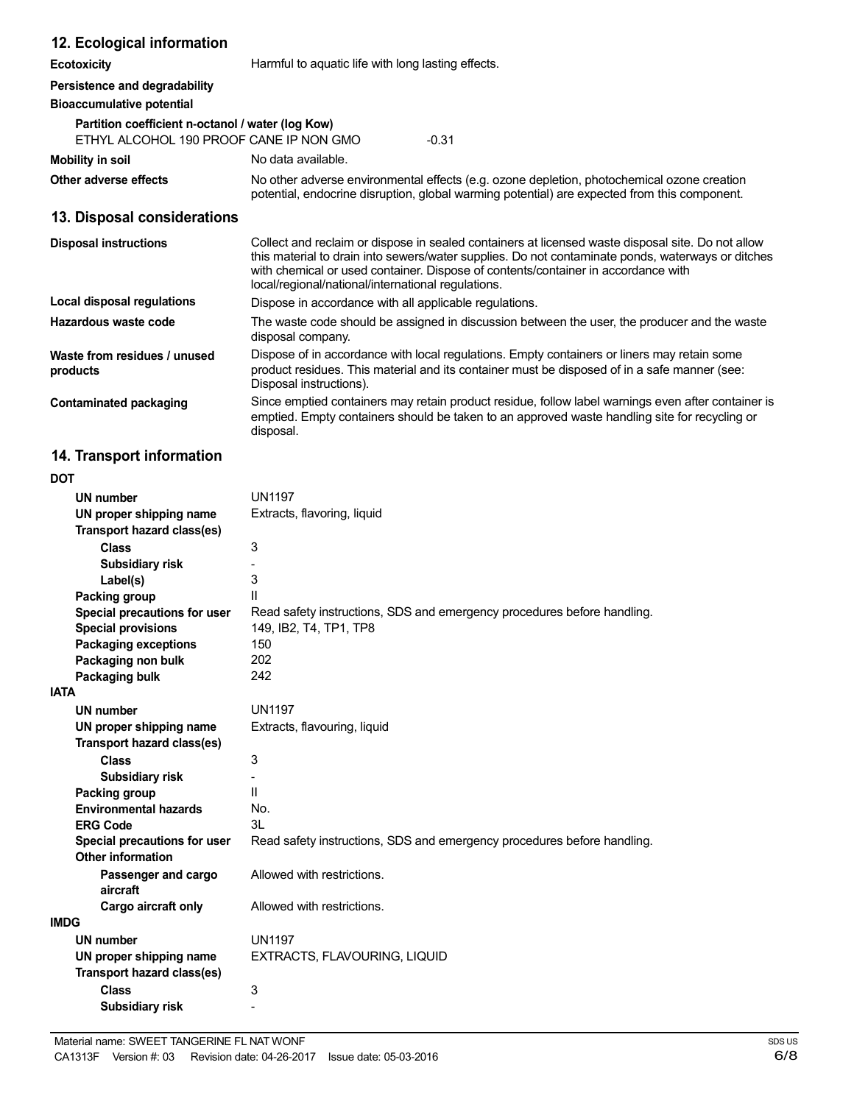### **12. Ecological information**

**Ecotoxicity Exercise Exercise Exercise Second Harmful to aquatic life with long lasting effects.** 

### **Persistence and degradability**

### **Bioaccumulative potential**

| Partition coefficient n-octanol / water (log Kow) |         |
|---------------------------------------------------|---------|
| ETHYL ALCOHOL 190 PROOF CANE IP NON GMO           | $-0.31$ |

| Mobility in soil | No data available. |
|------------------|--------------------|
|------------------|--------------------|

**Other adverse effects** No other adverse environmental effects (e.g. ozone depletion, photochemical ozone creation potential, endocrine disruption, global warming potential) are expected from this component.

### **13. Disposal considerations**

| <b>Disposal instructions</b>             | Collect and reclaim or dispose in sealed containers at licensed waste disposal site. Do not allow<br>this material to drain into sewers/water supplies. Do not contaminate ponds, waterways or ditches<br>with chemical or used container. Dispose of contents/container in accordance with<br>local/regional/national/international regulations. |
|------------------------------------------|---------------------------------------------------------------------------------------------------------------------------------------------------------------------------------------------------------------------------------------------------------------------------------------------------------------------------------------------------|
| Local disposal regulations               | Dispose in accordance with all applicable regulations.                                                                                                                                                                                                                                                                                            |
| Hazardous waste code                     | The waste code should be assigned in discussion between the user, the producer and the waste<br>disposal company.                                                                                                                                                                                                                                 |
| Waste from residues / unused<br>products | Dispose of in accordance with local regulations. Empty containers or liners may retain some<br>product residues. This material and its container must be disposed of in a safe manner (see:<br>Disposal instructions).                                                                                                                            |
| Contaminated packaging                   | Since emptied containers may retain product residue, follow label warnings even after container is<br>emptied. Empty containers should be taken to an approved waste handling site for recycling or<br>disposal.                                                                                                                                  |

# **14. Transport information**

| וטע                               |                                                                         |
|-----------------------------------|-------------------------------------------------------------------------|
| <b>UN number</b>                  | <b>UN1197</b>                                                           |
| UN proper shipping name           | Extracts, flavoring, liquid                                             |
| Transport hazard class(es)        |                                                                         |
| <b>Class</b>                      | 3                                                                       |
| Subsidiary risk                   |                                                                         |
| Label(s)                          | 3                                                                       |
| Packing group                     | Ш                                                                       |
| Special precautions for user      | Read safety instructions, SDS and emergency procedures before handling. |
| <b>Special provisions</b>         | 149, IB2, T4, TP1, TP8                                                  |
| <b>Packaging exceptions</b>       | 150                                                                     |
| Packaging non bulk                | 202                                                                     |
| Packaging bulk                    | 242                                                                     |
| <b>IATA</b>                       |                                                                         |
| <b>UN number</b>                  | <b>UN1197</b>                                                           |
| UN proper shipping name           | Extracts, flavouring, liquid                                            |
| Transport hazard class(es)        |                                                                         |
| <b>Class</b>                      | 3                                                                       |
| Subsidiary risk                   |                                                                         |
| Packing group                     | Ш                                                                       |
| <b>Environmental hazards</b>      | No.                                                                     |
| <b>ERG Code</b>                   | 3L                                                                      |
| Special precautions for user      | Read safety instructions, SDS and emergency procedures before handling. |
| <b>Other information</b>          |                                                                         |
| Passenger and cargo<br>aircraft   | Allowed with restrictions.                                              |
| Cargo aircraft only               | Allowed with restrictions.                                              |
| <b>IMDG</b>                       |                                                                         |
| <b>UN number</b>                  | <b>UN1197</b>                                                           |
| UN proper shipping name           | EXTRACTS, FLAVOURING, LIQUID                                            |
| <b>Transport hazard class(es)</b> |                                                                         |
| <b>Class</b>                      | 3                                                                       |
| Subsidiary risk                   |                                                                         |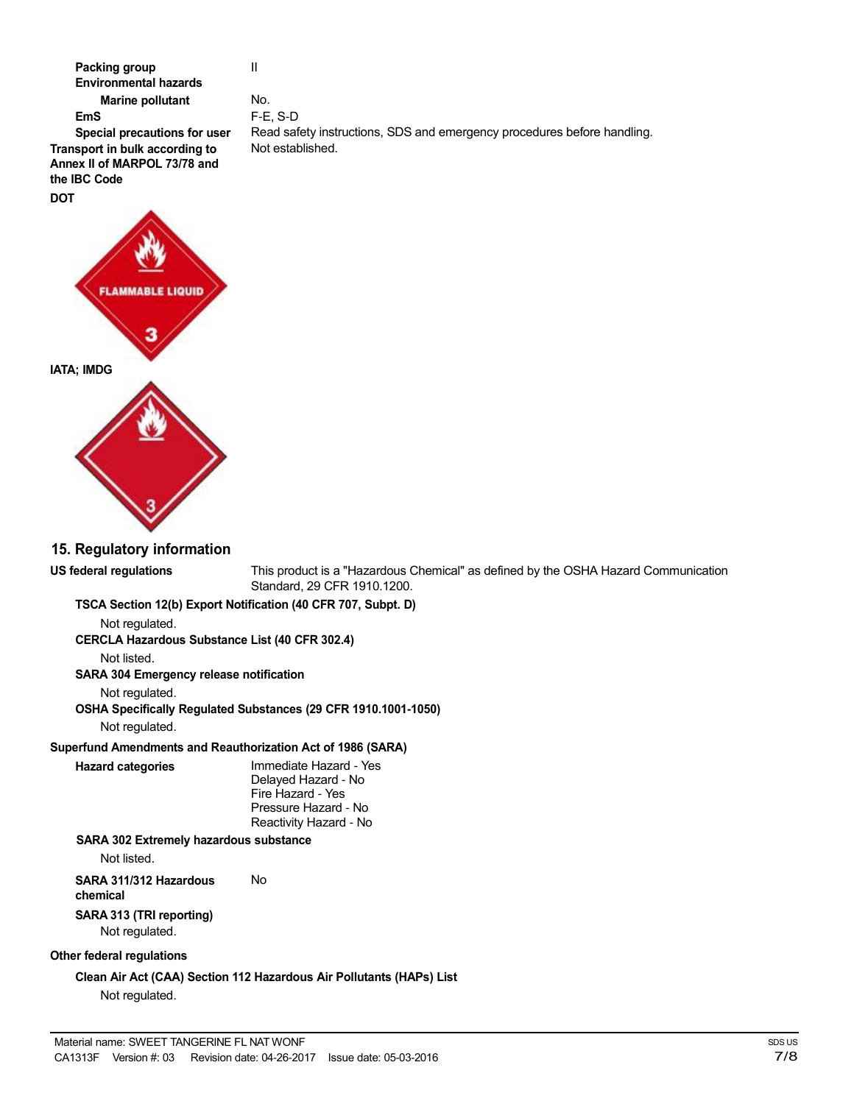

## **15. Regulatory information**

**US federal regulations** This product is a "Hazardous Chemical" as defined by the OSHA Hazard Communication Standard, 29 CFR 1910.1200. **TSCA Section 12(b) Export Notification (40 CFR 707, Subpt. D)** Not regulated. **CERCLA Hazardous Substance List (40 CFR 302.4)** Not listed. **SARA 304 Emergency release notification** Not regulated. **OSHA Specifically Regulated Substances (29 CFR 1910.1001-1050)** Not regulated. **Superfund Amendments and Reauthorization Act of 1986 (SARA) Hazard categories** Immediate Hazard - Yes Delayed Hazard - No Fire Hazard - Yes Pressure Hazard - No Reactivity Hazard - No **SARA 302 Extremely hazardous substance** Not listed. **SARA 311/312 Hazardous** No **chemical SARA 313 (TRI reporting)** Not regulated. **Other federal regulations**

**Clean Air Act (CAA) Section 112 Hazardous Air Pollutants (HAPs) List** Not regulated.

No. F-E, S-D Read safety instructions, SDS and emergency procedures before handling. Not established.